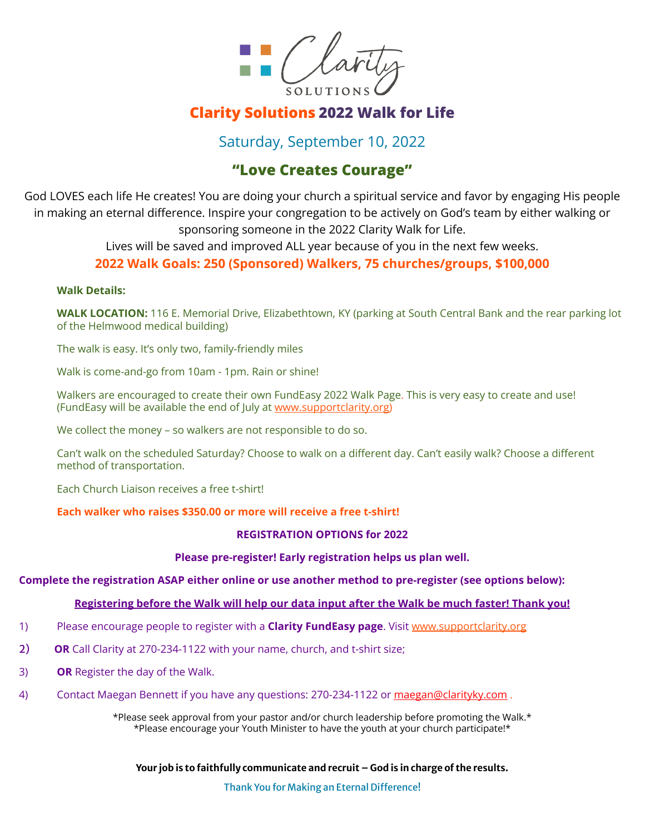

# **Clarity Solutions 2022 Walk for Life**

## Saturday, September 10, 2022

## **"Love Creates Courage"**

God LOVES each life He creates! You are doing your church a spiritual service and favor by engaging His people in making an eternal difference. Inspire your congregation to be actively on God's team by either walking or sponsoring someone in the 2022 Clarity Walk for Life.

Lives will be saved and improved ALL year because of you in the next few weeks.

### **2022 Walk Goals: 250 (Sponsored) Walkers, 75 churches/groups, \$100,000**

#### **Walk Details:**

**WALK LOCATION:** 116 E. Memorial Drive, Elizabethtown, KY (parking at South Central Bank and the rear parking lot of the Helmwood medical building)

The walk is easy. It's only two, family-friendly miles

Walk is come-and-go from 10am - 1pm. Rain or shine!

Walkers are encouraged to create their own FundEasy 2022 Walk Page. This is very easy to create and use! (FundEasy will be available the end of July at [www.supportclarity.org\)](http://www.supportclarity.org)

We collect the money – so walkers are not responsible to do so.

Can't walk on the scheduled Saturday? Choose to walk on a different day. Can't easily walk? Choose a different method of transportation.

Each Church Liaison receives a free t-shirt!

### **Each walker who raises \$350.00 or more will receive a free t-shirt!**

### **REGISTRATION OPTIONS for 2022**

### **Please pre-register! Early registration helps us plan well.**

### **Complete the registration ASAP either online or use another method to pre-register (see options below):**

### **Registering before the Walk will help our data input after the Walk be much faster! Thank you!**

- 1) Please encourage people to register with a **Clarity FundEasy page**. Visit [www.supportclarity.org](http://www.supportclarity.org)
- 2) **OR** Call Clarity at 270-234-1122 with your name, church, and t-shirt size;
- 3) **OR** Register the day of the Walk.
- 4) Contact Maegan Bennett if you have any questions: 270-234-1122 or [maegan@clarityky.com](mailto:maegan@clarityky.com).

\*Please seek approval from your pastor and/or church leadership before promoting the Walk.\* \*Please encourage your Youth Minister to have the youth at your church participate!\*

**Your job is to faithfully communicate and recruit – God is in charge of the results.**

Thank You for Making an Eternal Difference!